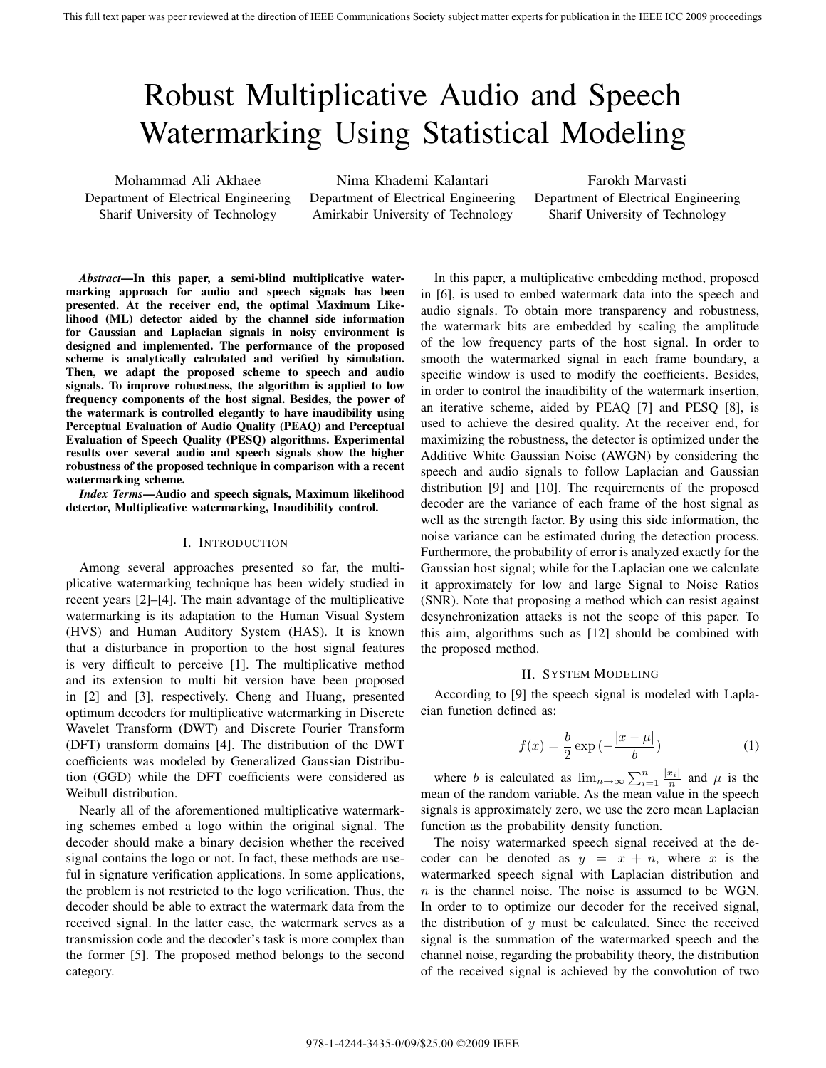# Robust Multiplicative Audio and Speech Watermarking Using Statistical Modeling

Mohammad Ali Akhaee Department of Electrical Engineering Sharif University of Technology

Nima Khademi Kalantari Department of Electrical Engineering Amirkabir University of Technology

Farokh Marvasti Department of Electrical Engineering Sharif University of Technology

*Abstract***—In this paper, a semi-blind multiplicative watermarking approach for audio and speech signals has been presented. At the receiver end, the optimal Maximum Likelihood (ML) detector aided by the channel side information for Gaussian and Laplacian signals in noisy environment is designed and implemented. The performance of the proposed scheme is analytically calculated and verified by simulation. Then, we adapt the proposed scheme to speech and audio signals. To improve robustness, the algorithm is applied to low frequency components of the host signal. Besides, the power of the watermark is controlled elegantly to have inaudibility using Perceptual Evaluation of Audio Quality (PEAQ) and Perceptual Evaluation of Speech Quality (PESQ) algorithms. Experimental results over several audio and speech signals show the higher robustness of the proposed technique in comparison with a recent watermarking scheme.**

*Index Terms***—Audio and speech signals, Maximum likelihood detector, Multiplicative watermarking, Inaudibility control.**

# I. INTRODUCTION

Among several approaches presented so far, the multiplicative watermarking technique has been widely studied in recent years [2]–[4]. The main advantage of the multiplicative watermarking is its adaptation to the Human Visual System (HVS) and Human Auditory System (HAS). It is known that a disturbance in proportion to the host signal features is very difficult to perceive [1]. The multiplicative method and its extension to multi bit version have been proposed in [2] and [3], respectively. Cheng and Huang, presented optimum decoders for multiplicative watermarking in Discrete Wavelet Transform (DWT) and Discrete Fourier Transform (DFT) transform domains [4]. The distribution of the DWT coefficients was modeled by Generalized Gaussian Distribution (GGD) while the DFT coefficients were considered as Weibull distribution.

Nearly all of the aforementioned multiplicative watermarking schemes embed a logo within the original signal. The decoder should make a binary decision whether the received signal contains the logo or not. In fact, these methods are useful in signature verification applications. In some applications, the problem is not restricted to the logo verification. Thus, the decoder should be able to extract the watermark data from the received signal. In the latter case, the watermark serves as a transmission code and the decoder's task is more complex than the former [5]. The proposed method belongs to the second category.

In this paper, a multiplicative embedding method, proposed in [6], is used to embed watermark data into the speech and audio signals. To obtain more transparency and robustness, the watermark bits are embedded by scaling the amplitude of the low frequency parts of the host signal. In order to smooth the watermarked signal in each frame boundary, a specific window is used to modify the coefficients. Besides, in order to control the inaudibility of the watermark insertion, an iterative scheme, aided by PEAQ [7] and PESQ [8], is used to achieve the desired quality. At the receiver end, for maximizing the robustness, the detector is optimized under the Additive White Gaussian Noise (AWGN) by considering the speech and audio signals to follow Laplacian and Gaussian distribution [9] and [10]. The requirements of the proposed decoder are the variance of each frame of the host signal as well as the strength factor. By using this side information, the noise variance can be estimated during the detection process. Furthermore, the probability of error is analyzed exactly for the Gaussian host signal; while for the Laplacian one we calculate it approximately for low and large Signal to Noise Ratios (SNR). Note that proposing a method which can resist against desynchronization attacks is not the scope of this paper. To this aim, algorithms such as [12] should be combined with the proposed method.

## II. SYSTEM MODELING

According to [9] the speech signal is modeled with Laplacian function defined as:

$$
f(x) = \frac{b}{2} \exp\left(-\frac{|x-\mu|}{b}\right) \tag{1}
$$

where b is calculated as  $\lim_{n\to\infty} \sum_{i=1}^{n} \frac{|x_i|}{n}$  and  $\mu$  is the second of the random variable. As the mean value in the speech mean of the random variable. As the mean value in the speech signals is approximately zero, we use the zero mean Laplacian function as the probability density function.

The noisy watermarked speech signal received at the decoder can be denoted as  $y = x + n$ , where x is the watermarked speech signal with Laplacian distribution and  $n$  is the channel noise. The noise is assumed to be WGN. In order to to optimize our decoder for the received signal, the distribution of  $y$  must be calculated. Since the received signal is the summation of the watermarked speech and the channel noise, regarding the probability theory, the distribution of the received signal is achieved by the convolution of two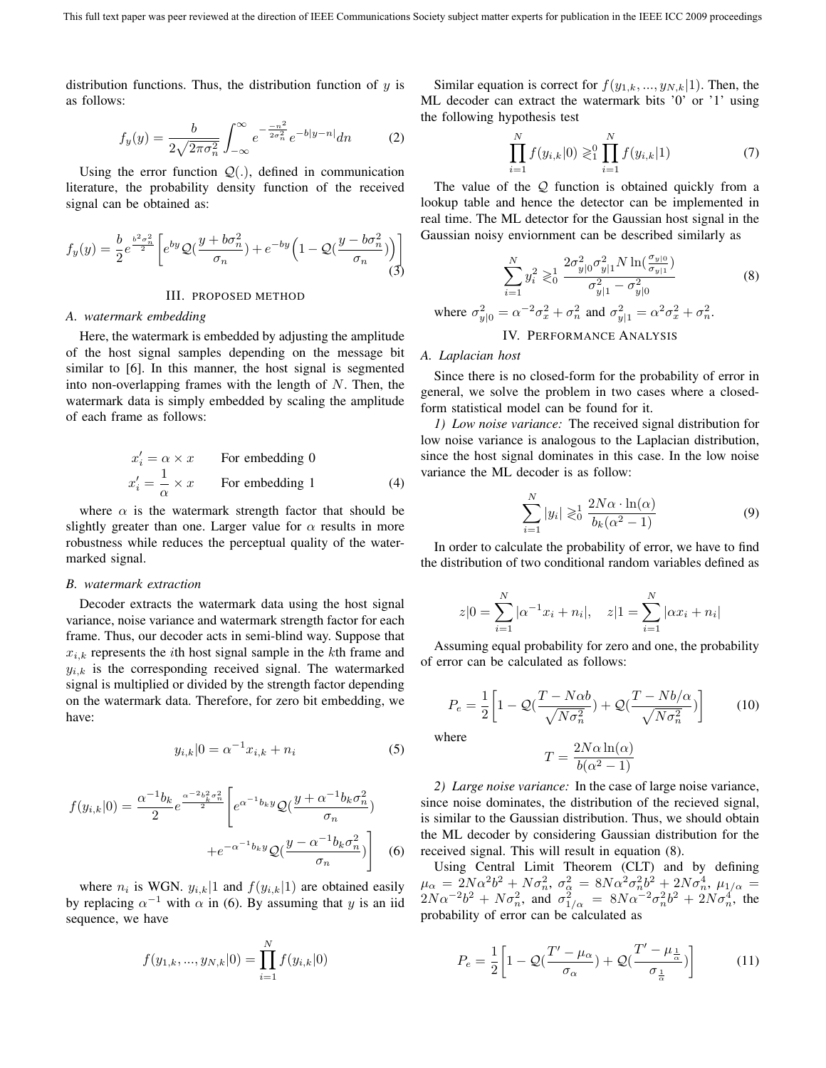distribution functions. Thus, the distribution function of  $y$  is as follows:

$$
f_y(y) = \frac{b}{2\sqrt{2\pi\sigma_n^2}} \int_{-\infty}^{\infty} e^{-\frac{-n^2}{2\sigma_n^2}} e^{-b|y-n|} dn
$$
 (2)

Using the error function  $Q(.)$ , defined in communication<br>erature, the probability density function of the received literature, the probability density function of the received signal can be obtained as:

$$
f_y(y) = \frac{b}{2} e^{\frac{b^2 \sigma_n^2}{2}} \left[ e^{by} \mathcal{Q}(\frac{y + b\sigma_n^2}{\sigma_n}) + e^{-by} \left( 1 - \mathcal{Q}(\frac{y - b\sigma_n^2}{\sigma_n}) \right) \right]
$$
(3)

## III. PROPOSED METHOD

#### *A. watermark embedding*

Here, the watermark is embedded by adjusting the amplitude of the host signal samples depending on the message bit similar to [6]. In this manner, the host signal is segmented into non-overlapping frames with the length of  $N$ . Then, the watermark data is simply embedded by scaling the amplitude of each frame as follows:

$$
x'_{i} = \alpha \times x
$$
 For embedding 0  

$$
x'_{i} = \frac{1}{\alpha} \times x
$$
 For embedding 1 (4)

where  $\alpha$  is the watermark strength factor that should be slightly greater than one. Larger value for  $\alpha$  results in more robustness while reduces the perceptual quality of the watermarked signal.

## *B. watermark extraction*

Decoder extracts the watermark data using the host signal variance, noise variance and watermark strength factor for each frame. Thus, our decoder acts in semi-blind way. Suppose that  $x_{i,k}$  represents the *i*th host signal sample in the *k*th frame and  $y_{i,k}$  is the corresponding received signal. The watermarked signal is multiplied or divided by the strength factor depending on the watermark data. Therefore, for zero bit embedding, we have:

$$
y_{i,k}|0 = \alpha^{-1}x_{i,k} + n_i
$$
 (5)

$$
f(y_{i,k}|0) = \frac{\alpha^{-1}b_k}{2}e^{\frac{\alpha^{-2}b_k^2\sigma_n^2}{2}} \left[e^{\alpha^{-1}b_ky}\mathcal{Q}(\frac{y+\alpha^{-1}b_k\sigma_n^2}{\sigma_n}) + e^{-\alpha^{-1}b_ky}\mathcal{Q}(\frac{y-\alpha^{-1}b_k\sigma_n^2}{\sigma_n})\right]
$$
(6)

where  $n_i$  is WGN.  $y_{i,k}|1$  and  $f(y_{i,k}|1)$  are obtained easily by replacing  $\alpha^{-1}$  with  $\alpha$  in (6). By assuming that y is an iid sequence, we have

$$
f(y_{1,k},...,y_{N,k}|0) = \prod_{i=1}^{N} f(y_{i,k}|0)
$$

Similar equation is correct for  $f(y_{1,k},..., y_{N,k}|1)$ . Then, the ML decoder can extract the watermark bits '0' or '1' using the following hypothesis test

$$
\prod_{i=1}^{N} f(y_{i,k}|0) \gtrless_1^0 \prod_{i=1}^{N} f(y_{i,k}|1)
$$
\n(7)

The value of the Q function is obtained quickly from a lookup table and hence the detector can be implemented in real time. The ML detector for the Gaussian host signal in the Gaussian noisy enviornment can be described similarly as

$$
\sum_{i=1}^{N} y_i^2 \gtrsim_0^1 \frac{2\sigma_{y|0}^2 \sigma_{y|1}^2 N \ln(\frac{\sigma_{y|0}}{\sigma_{y|1}})}{\sigma_{y|1}^2 - \sigma_{y|0}^2}
$$
\nwhere  $\sigma_{y|0}^2 = \alpha^{-2} \sigma_x^2 + \sigma_n^2$  and  $\sigma_{y|1}^2 = \alpha^2 \sigma_x^2 + \sigma_n^2$ .

\nIV. PERFORMANCE ANALYSIS

# *A. Laplacian host*

Since there is no closed-form for the probability of error in general, we solve the problem in two cases where a closedform statistical model can be found for it.

*1) Low noise variance:* The received signal distribution for low noise variance is analogous to the Laplacian distribution, since the host signal dominates in this case. In the low noise variance the ML decoder is as follow:

$$
\sum_{i=1}^{N} |y_i| \gtrless_0^1 \frac{2N\alpha \cdot \ln(\alpha)}{b_k(\alpha^2 - 1)}
$$
(9)

In order to calculate the probability of error, we have to find the distribution of two conditional random variables defined as

$$
z|0 = \sum_{i=1}^{N} |\alpha^{-1}x_i + n_i|, \quad z|1 = \sum_{i=1}^{N} |\alpha x_i + n_i|
$$

Assuming equal probability for zero and one, the probability of error can be calculated as follows:

$$
P_e = \frac{1}{2} \left[ 1 - \mathcal{Q}(\frac{T - N\alpha b}{\sqrt{N\sigma_n^2}}) + \mathcal{Q}(\frac{T - Nb/\alpha}{\sqrt{N\sigma_n^2}}) \right]
$$
(10)

where

$$
T = \frac{2N\alpha\ln(\alpha)}{b(\alpha^2 - 1)}
$$

 $\frac{d}{dt} = \frac{1}{b(\alpha^2 - 1)}$ <br>2) Large noise variance: In the case of large noise variance, since noise dominates, the distribution of the recieved signal, is similar to the Gaussian distribution. Thus, we should obtain the ML decoder by considering Gaussian distribution for the received signal. This will result in equation (8).

Using Central Limit Theorem (CLT) and by defining  $\mu_{\alpha} = 2N\alpha^2b^2 + N\sigma_n^2$ ,  $\sigma_{\alpha}^2 = 8N\alpha^2\sigma_n^2b^2 + 2N\sigma_n^4$ ,  $\mu_{1/\alpha} = 2N\sigma_n^2b^2 + N\sigma_n^2$  and  $\sigma_{\alpha}^2 = 8N\sigma_n^2c^2b^2 + 2N\sigma_n^4$  the  $2N\alpha^{-2}b^2 + N\sigma_n^2$ , and  $\sigma_{1/\alpha}^2 = 8N\alpha^{-2}\sigma_n^2b^2 + 2N\sigma_n^4$ , the probability of error can be calculated as

$$
P_e = \frac{1}{2} \left[ 1 - \mathcal{Q} \left( \frac{T' - \mu_\alpha}{\sigma_\alpha} \right) + \mathcal{Q} \left( \frac{T' - \mu_{\frac{1}{\alpha}}}{\sigma_{\frac{1}{\alpha}}} \right) \right]
$$
(11)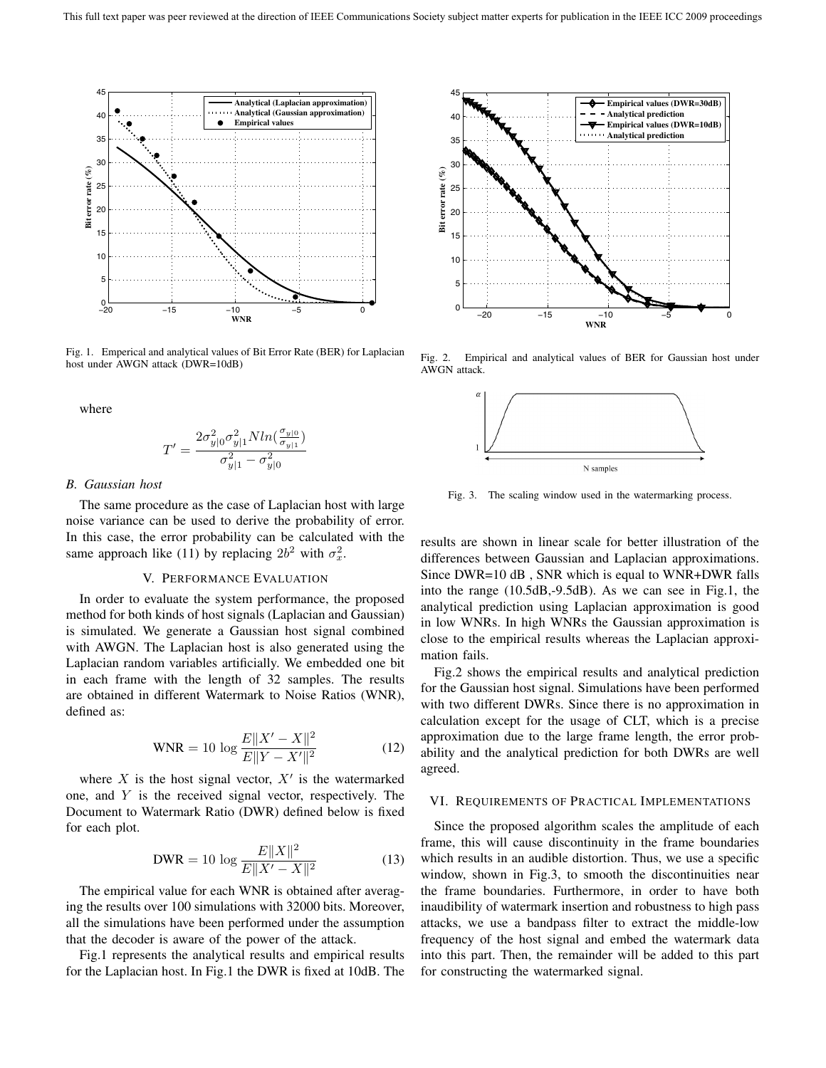

Fig. 1. Emperical and analytical values of Bit Error Rate (BER) for Laplacian host under AWGN attack (DWR=10dB)

where

$$
T' = \frac{2\sigma_{y|0}^2 \sigma_{y|1}^2 N ln(\frac{\sigma_{y|0}}{\sigma_{y|1}})}{\sigma_{y|1}^2 - \sigma_{y|0}^2}
$$

#### *B. Gaussian host*

The same procedure as the case of Laplacian host with large noise variance can be used to derive the probability of error. In this case, the error probability can be calculated with the same approach like (11) by replacing  $2b^2$  with  $\sigma_x^2$ .

# V. PERFORMANCE EVALUATION

In order to evaluate the system performance, the proposed method for both kinds of host signals (Laplacian and Gaussian) is simulated. We generate a Gaussian host signal combined with AWGN. The Laplacian host is also generated using the Laplacian random variables artificially. We embedded one bit in each frame with the length of 32 samples. The results are obtained in different Watermark to Noise Ratios (WNR), defined as:

$$
WNR = 10 \log \frac{E||X' - X||^2}{E||Y - X'||^2}
$$
 (12)

where  $X$  is the host signal vector,  $X'$  is the watermarked one, and Y is the received signal vector, respectively. The Document to Watermark Ratio (DWR) defined below is fixed for each plot.

$$
\text{DWR} = 10 \log \frac{E \|X\|^2}{E \|X' - X\|^2} \tag{13}
$$

The empirical value for each WNR is obtained after averaging the results over 100 simulations with 32000 bits. Moreover, all the simulations have been performed under the assumption that the decoder is aware of the power of the attack.

Fig.1 represents the analytical results and empirical results for the Laplacian host. In Fig.1 the DWR is fixed at 10dB. The



Fig. 2. Empirical and analytical values of BER for Gaussian host under AWGN attack.



Fig. 3. The scaling window used in the watermarking process.

results are shown in linear scale for better illustration of the differences between Gaussian and Laplacian approximations. Since DWR=10 dB , SNR which is equal to WNR+DWR falls into the range (10.5dB,-9.5dB). As we can see in Fig.1, the analytical prediction using Laplacian approximation is good in low WNRs. In high WNRs the Gaussian approximation is close to the empirical results whereas the Laplacian approximation fails.

Fig.2 shows the empirical results and analytical prediction for the Gaussian host signal. Simulations have been performed with two different DWRs. Since there is no approximation in calculation except for the usage of CLT, which is a precise approximation due to the large frame length, the error probability and the analytical prediction for both DWRs are well agreed.

## VI. REQUIREMENTS OF PRACTICAL IMPLEMENTATIONS

Since the proposed algorithm scales the amplitude of each frame, this will cause discontinuity in the frame boundaries which results in an audible distortion. Thus, we use a specific window, shown in Fig.3, to smooth the discontinuities near the frame boundaries. Furthermore, in order to have both inaudibility of watermark insertion and robustness to high pass attacks, we use a bandpass filter to extract the middle-low frequency of the host signal and embed the watermark data into this part. Then, the remainder will be added to this part for constructing the watermarked signal.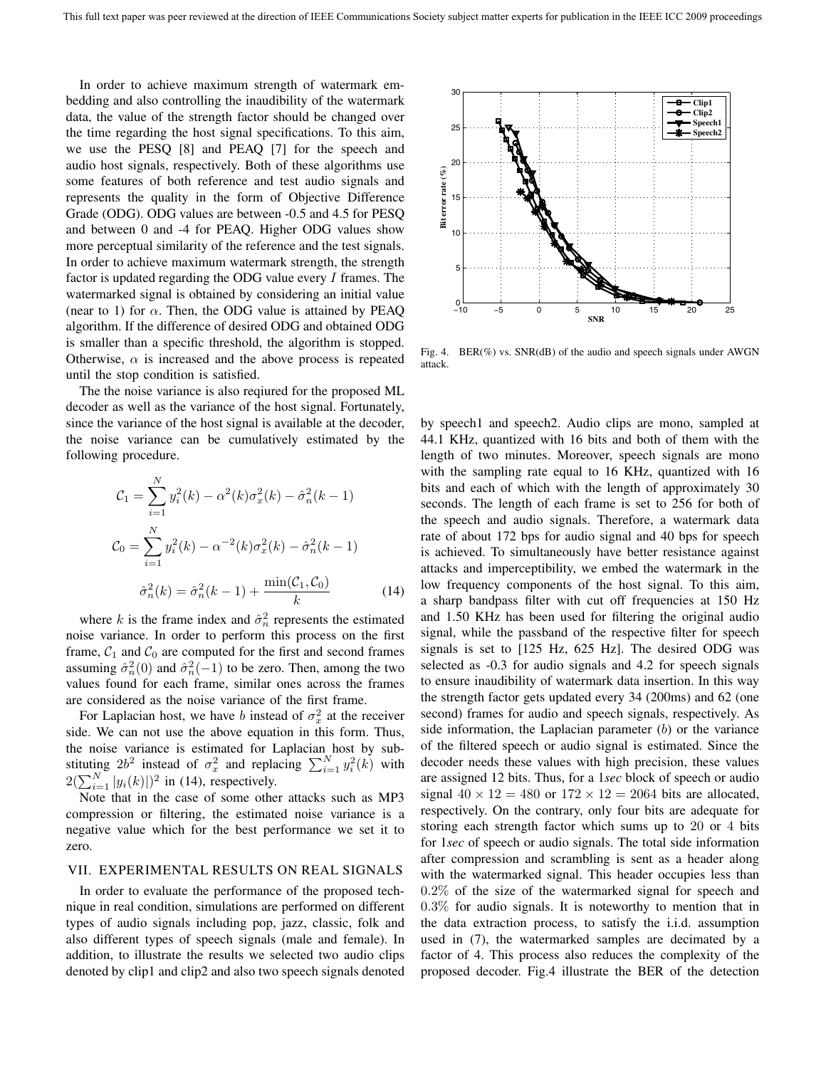In order to achieve maximum strength of watermark embedding and also controlling the inaudibility of the watermark data, the value of the strength factor should be changed over the time regarding the host signal specifications. To this aim, we use the PESQ [8] and PEAQ [7] for the speech and audio host signals, respectively. Both of these algorithms use some features of both reference and test audio signals and represents the quality in the form of Objective Difference Grade (ODG). ODG values are between -0.5 and 4.5 for PESQ and between 0 and -4 for PEAQ. Higher ODG values show more perceptual similarity of the reference and the test signals. In order to achieve maximum watermark strength, the strength factor is updated regarding the ODG value every  $I$  frames. The watermarked signal is obtained by considering an initial value (near to 1) for  $\alpha$ . Then, the ODG value is attained by PEAQ algorithm. If the difference of desired ODG and obtained ODG is smaller than a specific threshold, the algorithm is stopped. Otherwise,  $\alpha$  is increased and the above process is repeated until the stop condition is satisfied.

The the noise variance is also reqiured for the proposed ML decoder as well as the variance of the host signal. Fortunately, since the variance of the host signal is available at the decoder, the noise variance can be cumulatively estimated by the following procedure.

$$
\mathcal{C}_1 = \sum_{i=1}^N y_i^2(k) - \alpha^2(k)\sigma_x^2(k) - \hat{\sigma}_n^2(k-1)
$$

$$
\mathcal{C}_0 = \sum_{i=1}^N y_i^2(k) - \alpha^{-2}(k)\sigma_x^2(k) - \hat{\sigma}_n^2(k-1)
$$

$$
\hat{\sigma}_n^2(k) = \hat{\sigma}_n^2(k-1) + \frac{\min(\mathcal{C}_1, \mathcal{C}_0)}{k} \tag{14}
$$

where k is the frame index and  $\hat{\sigma}_n^2$  represents the estimated<br>ise variance. In order to perform this process on the first noise variance. In order to perform this process on the first frame,  $C_1$  and  $C_0$  are computed for the first and second frames assuming  $\hat{\sigma}_n^2(0)$  and  $\hat{\sigma}_n^2(-1)$  to be zero. Then, among the two<br>values found for each frame, similar ones across the frames values found for each frame, similar ones across the frames are considered as the noise variance of the first frame.

For Laplacian host, we have b instead of  $\sigma_x^2$  at the receiver side. We can not use the above equation in this form. Thus, the noise variance is estimated for Laplacian host by substituting  $2b^2$  instead of  $\sigma_x^2$  and replacing  $\sum_{i=1}^N y_i^2(k)$  with  $2(\sum_{i=1}^N y_i(k))^2$  in (14) repressively  $2(\sum_{i=1}^{N} |y_i(k)|)^2$  in (14), respectively.<br>Note that in the case of some other

Note that in the case of some other attacks such as MP3 compression or filtering, the estimated noise variance is a negative value which for the best performance we set it to zero.

# VII. EXPERIMENTAL RESULTS ON REAL SIGNALS

In order to evaluate the performance of the proposed technique in real condition, simulations are performed on different types of audio signals including pop, jazz, classic, folk and also different types of speech signals (male and female). In addition, to illustrate the results we selected two audio clips denoted by clip1 and clip2 and also two speech signals denoted



Fig. 4. BER(%) vs. SNR(dB) of the audio and speech signals under AWGN attack.

by speech1 and speech2. Audio clips are mono, sampled at 44.1 KHz, quantized with 16 bits and both of them with the length of two minutes. Moreover, speech signals are mono with the sampling rate equal to 16 KHz, quantized with 16 bits and each of which with the length of approximately 30 seconds. The length of each frame is set to 256 for both of the speech and audio signals. Therefore, a watermark data rate of about 172 bps for audio signal and 40 bps for speech is achieved. To simultaneously have better resistance against attacks and imperceptibility, we embed the watermark in the low frequency components of the host signal. To this aim, a sharp bandpass filter with cut off frequencies at 150 Hz and 1.50 KHz has been used for filtering the original audio signal, while the passband of the respective filter for speech signals is set to [125 Hz, 625 Hz]. The desired ODG was selected as -0.3 for audio signals and 4.2 for speech signals to ensure inaudibility of watermark data insertion. In this way the strength factor gets updated every 34 (200ms) and 62 (one second) frames for audio and speech signals, respectively. As side information, the Laplacian parameter  $(b)$  or the variance of the filtered speech or audio signal is estimated. Since the decoder needs these values with high precision, these values are assigned 12 bits. Thus, for a 1*sec* block of speech or audio signal  $40 \times 12 = 480$  or  $172 \times 12 = 2064$  bits are allocated, respectively. On the contrary, only four bits are adequate for storing each strength factor which sums up to 20 or 4 bits for 1*sec* of speech or audio signals. The total side information after compression and scrambling is sent as a header along with the watermarked signal. This header occupies less than 0.2% of the size of the watermarked signal for speech and 0.3% for audio signals. It is noteworthy to mention that in the data extraction process, to satisfy the i.i.d. assumption used in (7), the watermarked samples are decimated by a factor of 4. This process also reduces the complexity of the proposed decoder. Fig.4 illustrate the BER of the detection